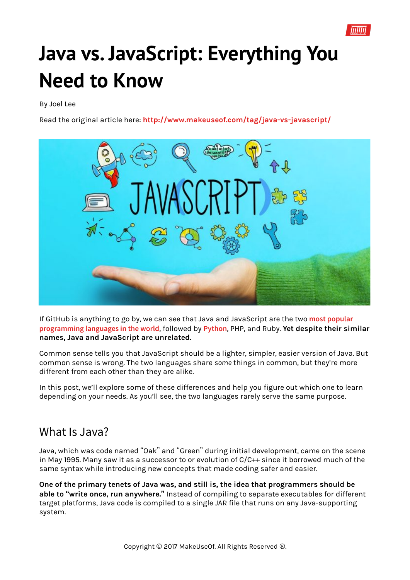

# **Java vs. JavaScript: Everything You Need to Know**

By Joel Lee

Read the original article here: **[http://www.makeuseof.com/tag/java-vs-javascript/](http://www.makeuseof.com/tag/java-vs-javascript/?utm_source=pdf&utm_medium=pdf&utm_campaign=pdf)**



If GitHub is anything to go by, we can see that Java and JavaScript are the two **[most popular](http://githut.info/)  [programming languages in the world](http://githut.info/)**, followed by **[Python](https://deals.makeuseof.com/sales/2016-pure-python-bundle?utm_source=pdf&utm_medium=pdf&utm_campaign=pdf)**, PHP, and Ruby. **Yet despite their similar names, Java and JavaScript are unrelated.**

Common sense tells you that JavaScript should be a lighter, simpler, easier version of Java. But common sense is wrong. The two languages share *some* things in common, but they're more different from each other than they are alike.

In this post, we'll explore some of these differences and help you figure out which one to learn depending on your needs. As you'll see, the two languages rarely serve the same purpose.

#### What Is Java?

Java, which was code named "Oak" and "Green" during initial development, came on the scene in May 1995. Many saw it as a successor to or evolution of C/C++ since it borrowed much of the same syntax while introducing new concepts that made coding safer and easier.

**One of the primary tenets of Java was, and still is, the idea that programmers should be able to "write once, run anywhere."** Instead of compiling to separate executables for different target platforms, Java code is compiled to a single JAR file that runs on any Java-supporting system.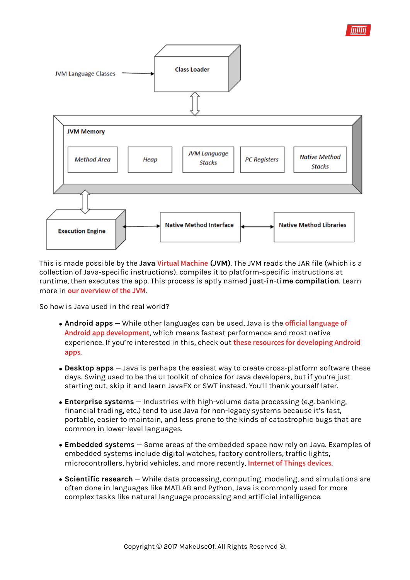



This is made possible by the **Java [Virtual Machine](http://parallels.com/) (JVM)**. The JVM reads the JAR file (which is a collection of Java-specific instructions), compiles it to platform-specific instructions at runtime, then executes the app. This process is aptly named **just-in-time compilation**. Learn more in **[our overview of the JVM](http://www.makeuseof.com/tag/java-virtual-machine-work-makeuseof-explains/?utm_source=pdf&utm_medium=pdf&utm_campaign=pdf)**.

So how is Java used in the real world?

- **Android apps** While other languages can be used, Java is the **off[icial language of](http://www.makeuseof.com/tag/build-android-app-programming-languages/?utm_source=pdf&utm_medium=pdf&utm_campaign=pdf)  [Android app development](http://www.makeuseof.com/tag/build-android-app-programming-languages/?utm_source=pdf&utm_medium=pdf&utm_campaign=pdf)**, which means fastest performance and most native experience. If you're interested in this, check out **[these resources for developing Android](http://www.makeuseof.com/tag/so-you-want-to-develop-android-apps-heres-how-to-learn/?utm_source=pdf&utm_medium=pdf&utm_campaign=pdf)  [apps](http://www.makeuseof.com/tag/so-you-want-to-develop-android-apps-heres-how-to-learn/?utm_source=pdf&utm_medium=pdf&utm_campaign=pdf)**.
- **Desktop apps** Java is perhaps the easiest way to create cross-platform software these days. Swing used to be the UI toolkit of choice for Java developers, but if you're just starting out, skip it and learn JavaFX or SWT instead. You'll thank yourself later.
- **Enterprise systems** Industries with high-volume data processing (e.g. banking, financial trading, etc.) tend to use Java for non-legacy systems because it's fast, portable, easier to maintain, and less prone to the kinds of catastrophic bugs that are common in lower-level languages.
- **Embedded systems** Some areas of the embedded space now rely on Java. Examples of embedded systems include digital watches, factory controllers, traffic lights, microcontrollers, hybrid vehicles, and more recently, **[Internet of Things devices](http://www.makeuseof.com/tag/internet-things-10-useful-products-must-try-2016/?utm_source=pdf&utm_medium=pdf&utm_campaign=pdf)**.
- **Scientific research** While data processing, computing, modeling, and simulations are often done in languages like MATLAB and Python, Java is commonly used for more complex tasks like natural language processing and artificial intelligence.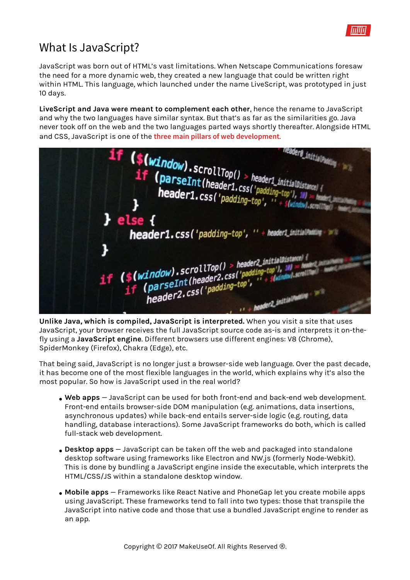

## What Is JavaScript?

JavaScript was born out of HTML's vast limitations. When Netscape Communications foresaw the need for a more dynamic web, they created a new language that could be written right within HTML. This language, which launched under the name LiveScript, was prototyped in just 10 days.

**LiveScript and Java were meant to complement each other**, hence the rename to JavaScript and why the two languages have similar syntax. But that's as far as the similarities go. Java never took off on the web and the two languages parted ways shortly thereafter. Alongside HTML and CSS, JavaScript is one of the **[three main pillars of web development](http://www.makeuseof.com/tag/what-is-javascript-and-can-the-internet-exist-without-it/?utm_source=pdf&utm_medium=pdf&utm_campaign=pdf)**.



**Unlike Java, which is compiled, JavaScript is interpreted.** When you visit a site that uses JavaScript, your browser receives the full JavaScript source code as-is and interprets it on-thefly using a **JavaScript engine**. Different browsers use different engines: V8 (Chrome), SpiderMonkey (Firefox), Chakra (Edge), etc.

That being said, JavaScript is no longer just a browser-side web language. Over the past decade, it has become one of the most flexible languages in the world, which explains why it's also the most popular. So how is JavaScript used in the real world?

- **Web apps** JavaScript can be used for both front-end and back-end web development. Front-end entails browser-side DOM manipulation (e.g. animations, data insertions, asynchronous updates) while back-end entails server-side logic (e.g. routing, data handling, database interactions). Some JavaScript frameworks do both, which is called full-stack web development.
- **Desktop apps** JavaScript can be taken off the web and packaged into standalone desktop software using frameworks like Electron and NW.js (formerly Node-Webkit). This is done by bundling a JavaScript engine inside the executable, which interprets the HTML/CSS/JS within a standalone desktop window.
- **Mobile apps** Frameworks like React Native and PhoneGap let you create mobile apps using JavaScript. These frameworks tend to fall into two types: those that transpile the JavaScript into native code and those that use a bundled JavaScript engine to render as an app.